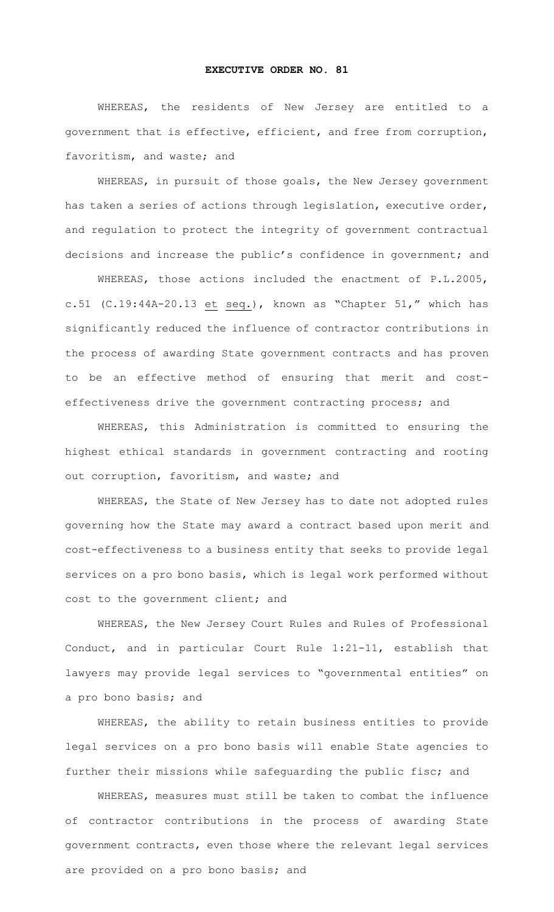## **EXECUTIVE ORDER NO. 81**

WHEREAS, the residents of New Jersey are entitled to a government that is effective, efficient, and free from corruption, favoritism, and waste; and

WHEREAS, in pursuit of those goals, the New Jersey government has taken a series of actions through legislation, executive order, and regulation to protect the integrity of government contractual decisions and increase the public's confidence in government; and

WHEREAS, those actions included the enactment of P.L.2005, c.51 (C.19:44A-20.13 et seq.), known as "Chapter 51," which has significantly reduced the influence of contractor contributions in the process of awarding State government contracts and has proven to be an effective method of ensuring that merit and costeffectiveness drive the government contracting process; and

WHEREAS, this Administration is committed to ensuring the highest ethical standards in government contracting and rooting out corruption, favoritism, and waste; and

WHEREAS, the State of New Jersey has to date not adopted rules governing how the State may award a contract based upon merit and cost-effectiveness to a business entity that seeks to provide legal services on a pro bono basis, which is legal work performed without cost to the government client; and

WHEREAS, the New Jersey Court Rules and Rules of Professional Conduct, and in particular Court Rule 1:21-11, establish that lawyers may provide legal services to "governmental entities" on a pro bono basis; and

WHEREAS, the ability to retain business entities to provide legal services on a pro bono basis will enable State agencies to further their missions while safeguarding the public fisc; and

WHEREAS, measures must still be taken to combat the influence of contractor contributions in the process of awarding State government contracts, even those where the relevant legal services are provided on a pro bono basis; and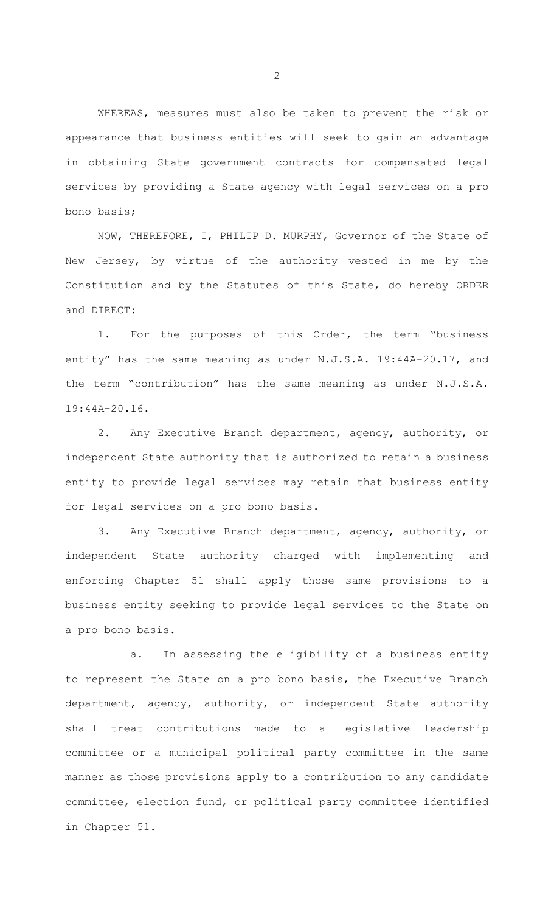WHEREAS, measures must also be taken to prevent the risk or appearance that business entities will seek to gain an advantage in obtaining State government contracts for compensated legal services by providing a State agency with legal services on a pro bono basis;

NOW, THEREFORE, I, PHILIP D. MURPHY, Governor of the State of New Jersey, by virtue of the authority vested in me by the Constitution and by the Statutes of this State, do hereby ORDER and DIRECT:

1. For the purposes of this Order, the term "business entity" has the same meaning as under N.J.S.A. 19:44A-20.17, and the term "contribution" has the same meaning as under N.J.S.A. 19:44A-20.16.

2. Any Executive Branch department, agency, authority, or independent State authority that is authorized to retain a business entity to provide legal services may retain that business entity for legal services on a pro bono basis.

3. Any Executive Branch department, agency, authority, or independent State authority charged with implementing and enforcing Chapter 51 shall apply those same provisions to a business entity seeking to provide legal services to the State on a pro bono basis.

a. In assessing the eligibility of a business entity to represent the State on a pro bono basis, the Executive Branch department, agency, authority, or independent State authority shall treat contributions made to a legislative leadership committee or a municipal political party committee in the same manner as those provisions apply to a contribution to any candidate committee, election fund, or political party committee identified in Chapter 51.

2